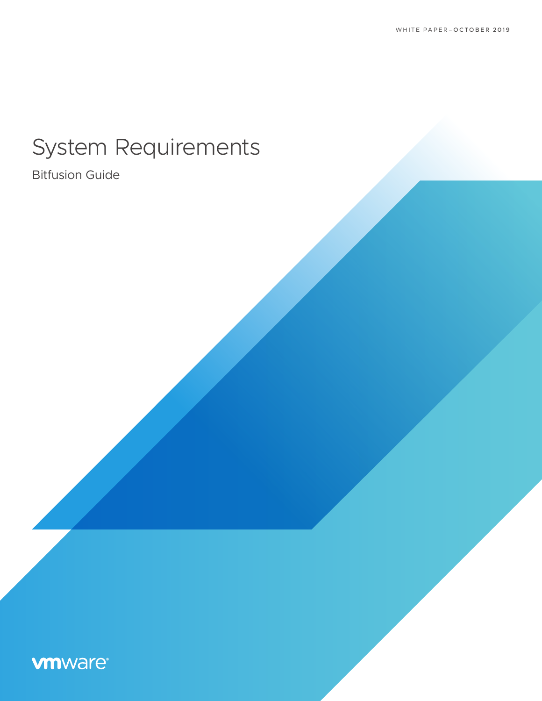# System Requirements

Bitfusion Guide

# **vm**ware<sup>®</sup>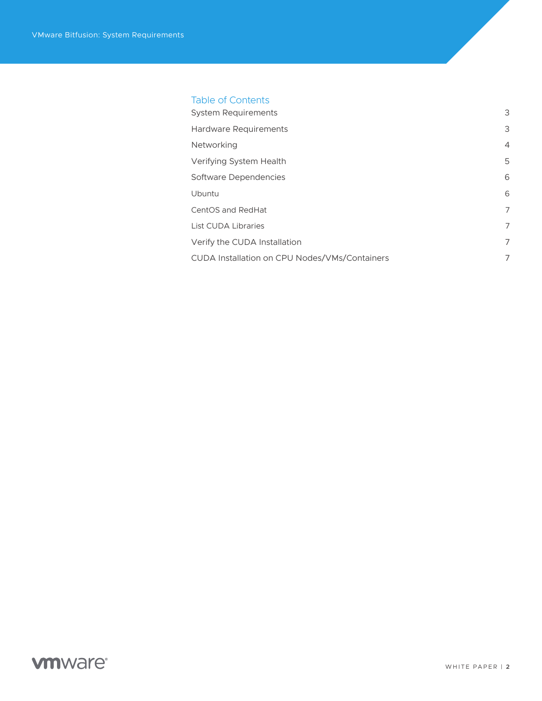# Table of Contents

| <b>System Requirements</b>                    | 3              |
|-----------------------------------------------|----------------|
| Hardware Requirements                         | 3              |
| <b>Networking</b>                             | $\overline{4}$ |
| Verifying System Health                       | 5              |
| Software Dependencies                         | 6              |
| Ubuntu                                        | 6              |
| CentOS and RedHat                             | $\overline{7}$ |
| List CUDA Libraries                           | $\overline{7}$ |
| Verify the CUDA Installation                  | $\overline{7}$ |
| CUDA Installation on CPU Nodes/VMs/Containers | 7              |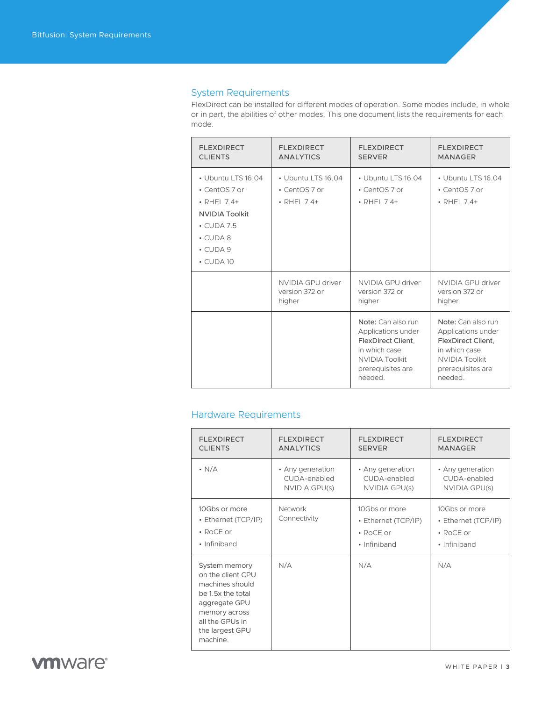# <span id="page-2-0"></span>System Requirements

FlexDirect can be installed for different modes of operation. Some modes include, in whole or in part, the abilities of other modes. This one document lists the requirements for each mode.

| <b>FLEXDIRECT</b>                                                                                                                                            | <b>FLEXDIRECT</b>                                  | <b>FLEXDIRECT</b>                                                                                                                        | <b>FLEXDIRECT</b>                                                                                                                        |
|--------------------------------------------------------------------------------------------------------------------------------------------------------------|----------------------------------------------------|------------------------------------------------------------------------------------------------------------------------------------------|------------------------------------------------------------------------------------------------------------------------------------------|
| <b>CLIENTS</b>                                                                                                                                               | <b>ANALYTICS</b>                                   | <b>SERVER</b>                                                                                                                            | <b>MANAGER</b>                                                                                                                           |
| • Ubuntu LTS 16.04<br>• CentOS 7 or<br>$\cdot$ RHEL 7.4+<br><b>NVIDIA Toolkit</b><br>$\cdot$ CUDA 7.5<br>$\cdot$ CUDA 8<br>$\cdot$ CUDA 9<br>$\cdot$ CUDA 10 | • Ubuntu LTS 16.04<br>• CentOS 7 or<br>• RHEL 7.4+ | • Ubuntu LTS 16.04<br>• CentOS 7 or<br>$\cdot$ RHEL 7.4+                                                                                 | • Ubuntu LTS 16.04<br>• CentOS 7 or<br>$\cdot$ RHEL 7.4+                                                                                 |
|                                                                                                                                                              | NVIDIA GPU driver                                  | NVIDIA GPU driver                                                                                                                        | NVIDIA GPU driver                                                                                                                        |
|                                                                                                                                                              | version 372 or                                     | version 372 or                                                                                                                           | version 372 or                                                                                                                           |
|                                                                                                                                                              | higher                                             | higher                                                                                                                                   | higher                                                                                                                                   |
|                                                                                                                                                              |                                                    | Note: Can also run<br>Applications under<br>FlexDirect Client.<br>in which case<br><b>NVIDIA Toolkit</b><br>prerequisites are<br>needed. | Note: Can also run<br>Applications under<br>FlexDirect Client.<br>in which case<br><b>NVIDIA Toolkit</b><br>prerequisites are<br>needed. |

# Hardware Requirements

| <b>FLEXDIRECT</b>                                                                                                                                              | <b>FLEXDIRECT</b>       | <b>FLEXDIRECT</b>                                                       | <b>FLEXDIRECT</b>                                                       |
|----------------------------------------------------------------------------------------------------------------------------------------------------------------|-------------------------|-------------------------------------------------------------------------|-------------------------------------------------------------------------|
| <b>CLIENTS</b>                                                                                                                                                 | <b>ANALYTICS</b>        | <b>SERVER</b>                                                           | <b>MANAGER</b>                                                          |
| $\cdot$ N/A                                                                                                                                                    | • Any generation        | • Any generation                                                        | • Any generation                                                        |
|                                                                                                                                                                | CUDA-enabled            | CUDA-enabled                                                            | CUDA-enabled                                                            |
|                                                                                                                                                                | NVIDIA GPU(s)           | NVIDIA GPU(s)                                                           | NVIDIA GPU(s)                                                           |
| 10Gbs or more<br>• Ethernet (TCP/IP)<br>$\cdot$ RoCE or<br>• Infiniband                                                                                        | Network<br>Connectivity | 10Gbs or more<br>• Ethernet (TCP/IP)<br>$\cdot$ RoCE or<br>• Infiniband | 10Gbs or more<br>• Ethernet (TCP/IP)<br>$\cdot$ RoCE or<br>• Infiniband |
| System memory<br>on the client CPU<br>machines should<br>be 1.5x the total<br>aggregate GPU<br>memory across<br>all the GPUs in<br>the largest GPU<br>machine. | N/A                     | N/A                                                                     | N/A                                                                     |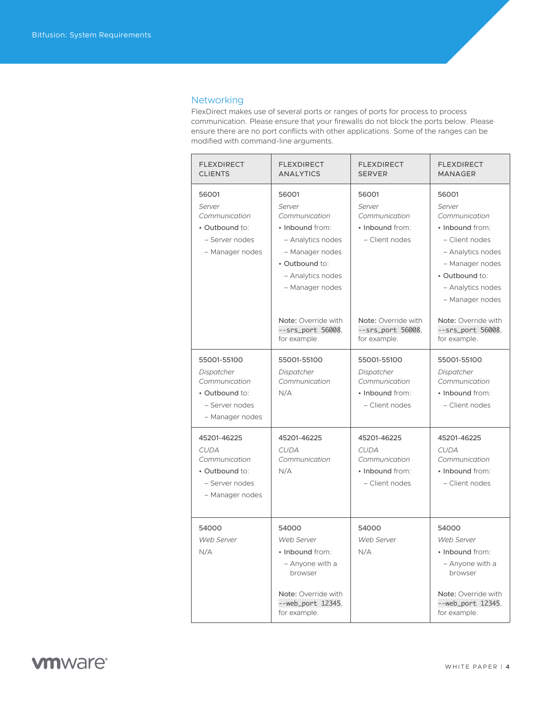# <span id="page-3-0"></span>**Networking**

FlexDirect makes use of several ports or ranges of ports for process to process communication. Please ensure that your firewalls do not block the ports below. Please ensure there are no port conflicts with other applications. Some of the ranges can be modified with command-line arguments.

| <b>FLEXDIRECT</b><br><b>CLIENTS</b>                                                                | <b>FLEXDIRECT</b><br><b>ANALYTICS</b>                                                                                                                 | <b>FLEXDIRECT</b><br><b>SERVER</b>                                               | <b>FLEXDIRECT</b><br><b>MANAGER</b>                                                                                                                                     |
|----------------------------------------------------------------------------------------------------|-------------------------------------------------------------------------------------------------------------------------------------------------------|----------------------------------------------------------------------------------|-------------------------------------------------------------------------------------------------------------------------------------------------------------------------|
| 56001<br>Server<br>Communication<br>• Outbound to:<br>- Server nodes<br>- Manager nodes            | 56001<br>Server<br>Communication<br>• Inbound from:<br>- Analytics nodes<br>- Manager nodes<br>. Outbound to:<br>- Analytics nodes<br>- Manager nodes | 56001<br>Server<br>Communication<br>• Inbound from:<br>- Client nodes            | 56001<br>Server<br>Communication<br>• Inbound from:<br>- Client nodes<br>- Analytics nodes<br>- Manager nodes<br>• Outbound to:<br>- Analytics nodes<br>- Manager nodes |
|                                                                                                    | Note: Override with<br>--srs_port 56008.<br>for example.                                                                                              | Note: Override with<br>--srs_port 56008,<br>for example.                         | Note: Override with<br>--srs_port 56008.<br>for example.                                                                                                                |
| 55001-55100<br>Dispatcher<br>Communication<br>• Outbound to:<br>- Server nodes<br>- Manager nodes  | 55001-55100<br>Dispatcher<br>Communication<br>N/A                                                                                                     | 55001-55100<br>Dispatcher<br>Communication<br>• Inbound from:<br>- Client nodes  | 55001-55100<br>Dispatcher<br>Communication<br>• Inbound from:<br>- Client nodes                                                                                         |
| 45201-46225<br><b>CUDA</b><br>Communication<br>• Outbound to:<br>- Server nodes<br>- Manager nodes | 45201-46225<br><b>CUDA</b><br>Communication<br>N/A                                                                                                    | 45201-46225<br><b>CUDA</b><br>Communication<br>• Inbound from:<br>- Client nodes | 45201-46225<br><b>CUDA</b><br>Communication<br>• Inbound from:<br>- Client nodes                                                                                        |
| 54000<br>Web Server<br>N/A                                                                         | 54000<br>Web Server<br>• Inbound from:<br>- Anyone with a<br>browser<br>Note: Override with<br>--web_port 12345,<br>for example.                      | 54000<br>Web Server<br>N/A                                                       | 54000<br>Web Server<br>• Inbound from:<br>- Anyone with a<br>browser<br>Note: Override with<br>--web_port 12345,<br>for example.                                        |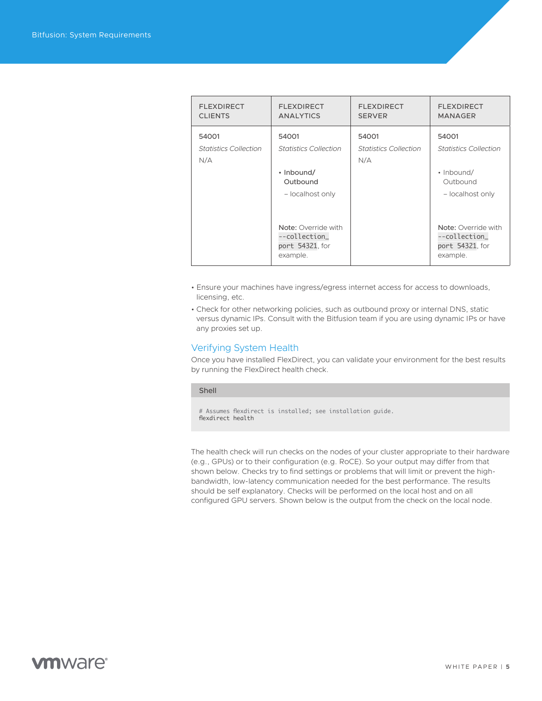<span id="page-4-0"></span>

| <b>FLEXDIRECT</b><br><b>CLIENTS</b>          | <b>FLEXDIRECT</b><br><b>ANALYTICS</b>                                               | <b>FLEXDIRECT</b><br><b>SERVER</b>           | <b>FLEXDIRECT</b><br><b>MANAGER</b>                                                 |
|----------------------------------------------|-------------------------------------------------------------------------------------|----------------------------------------------|-------------------------------------------------------------------------------------|
| 54001<br><b>Statistics Collection</b><br>N/A | 54001<br><b>Statistics Collection</b><br>• Inbound/<br>Outbound<br>- localhost only | 54001<br><b>Statistics Collection</b><br>N/A | 54001<br><b>Statistics Collection</b><br>• Inbound/<br>Outbound<br>- localhost only |
|                                              | Note: Override with<br>--collection_<br>port 54321, for<br>example.                 |                                              | Note: Override with<br>--collection_<br>port 54321, for<br>example.                 |

- Ensure your machines have ingress/egress internet access for access to downloads, licensing, etc.
- Check for other networking policies, such as outbound proxy or internal DNS, static versus dynamic IPs. Consult with the Bitfusion team if you are using dynamic IPs or have any proxies set up.

## Verifying System Health

Once you have installed FlexDirect, you can validate your environment for the best results by running the FlexDirect health check.

#### Shell

# Assumes flexdirect is installed; see installation guide. flexdirect health

The health check will run checks on the nodes of your cluster appropriate to their hardware (e.g., GPUs) or to their configuration (e.g. RoCE). So your output may differ from that shown below. Checks try to find settings or problems that will limit or prevent the highbandwidth, low-latency communication needed for the best performance. The results should be self explanatory. Checks will be performed on the local host and on all configured GPU servers. Shown below is the output from the check on the local node.

# **vm**ware<sup>®</sup>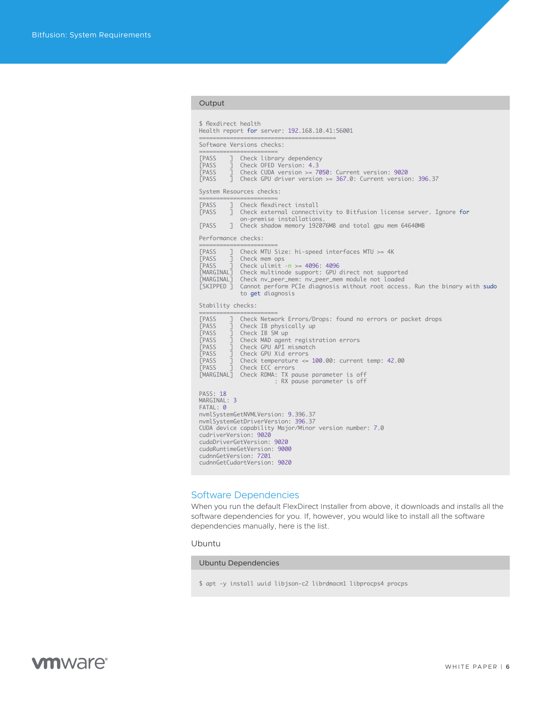#### <span id="page-5-0"></span>Output

|                                                                                                                                                                | Software Versions checks:                                                                                                                                                                                                                                                                                                                                                                             |
|----------------------------------------------------------------------------------------------------------------------------------------------------------------|-------------------------------------------------------------------------------------------------------------------------------------------------------------------------------------------------------------------------------------------------------------------------------------------------------------------------------------------------------------------------------------------------------|
| <b>FPASS</b><br>EPASS<br>EPASS<br><b><i>FPASS</i></b>                                                                                                          | ========================<br>] Check library dependency<br>$\overline{1}$ Check OFED Version: 4.3<br>] Check CUDA version >= 7050: Current version: 9020<br>1 Check GPU driver version >= 367.0: Current version: 396.37                                                                                                                                                                               |
|                                                                                                                                                                | System Resources checks:<br>=========================                                                                                                                                                                                                                                                                                                                                                 |
| <b><i>FPASS</i></b><br><b><i>FPASS</i></b><br><b><i>FPASS</i></b>                                                                                              | ] Check flexdirect install<br>] Check external connectivity to Bitfusion license server. Ignore for<br>on-premise installations.<br>T Check shadow memory 192076MB and total gpu mem 64640MB                                                                                                                                                                                                          |
| Performance checks:<br>===============                                                                                                                         |                                                                                                                                                                                                                                                                                                                                                                                                       |
| <b><i>FPASS</i></b><br>PASS                                                                                                                                    | ] Check MTU Size: hi-speed interfaces MTU >= 4K<br>] Check mem ops<br>[PASS ] Check ulimit -n >= 4096: 4096<br>[MARGINAL] Check multinode support: GPU direct not supported<br>[MARGINAL] Check nv_peer_mem: nv_peer_mem module not loaded<br>[SKIPPED ] Cannot perform PCIe diagnosis without root access. Run the binary with sudo<br>to get diagnosis                                              |
| Stability checks:<br>=============                                                                                                                             |                                                                                                                                                                                                                                                                                                                                                                                                       |
| <b><i>FPASS</i></b><br>PASS<br><b><i>FPASS</i></b><br><b>EPASS</b><br><b><i>FPASS</i></b><br><b><i>FPASS</i></b><br><b><i>FPASS</i></b><br><b><i>FPASS</i></b> | Check Network Errors/Drops: found no errors or packet drops<br>] Check Network Errors/D<br>] Check IB physically up<br>] Check IB SM up<br>] Check MAD agent registration errors<br>] Check GPU API mismatch<br>J Check GPU Xid errors<br>J Check temperature <= 100.00: current temp: 42.00<br>7 Check ECC errors<br>[MARGINAL] Check RDMA: TX pause parameter is off<br>: RX pause parameter is off |
| <b>PASS: 18</b><br>MARGINAL: 3<br>FATAL: 0                                                                                                                     | nvmlSystemGetNVMLVersion: 9.396.37<br>nvmlSystemGetDriverVersion: 396.37<br>CUDA device capability Major/Minor version number: 7.0<br>cudriverVersion: 9020<br>cudaDriverGetVersion: 9020<br>cudaRuntimeGetVersion: 9000<br>cudnnGetVersion: 7201<br>cudnnGetCudartVersion: 9020                                                                                                                      |

# Software Dependencies

When you run the default FlexDirect Installer from above, it downloads and installs all the software dependencies for you. If, however, you would like to install all the software dependencies manually, here is the list.

## Ubuntu

Ubuntu Dependencies

\$ apt -y install uuid libjson-c2 librdmacm1 libprocps4 procps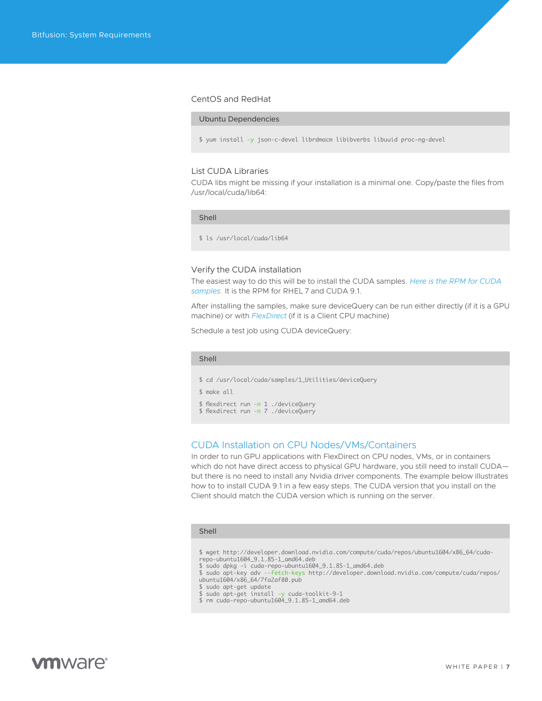#### <span id="page-6-0"></span>CentOS and RedHat

#### Ubuntu Dependencies

\$ yum install -y json-c-devel librdmacm libibverbs libuuid proc-ng-devel

#### List CUDA Libraries

CUDA libs might be missing if your installation is a minimal one. Copy/paste the files from /usr/local/cuda/lib64:

#### Shell

\$ ls /usr/local/cuda/lib64

#### Verify the CUDA installation

The easiest way to do this will be to install the CUDA samples. *[Here is the RPM for CUDA](https://www-review.vmware.com/solutions/business-critical-apps/hardwareaccelerators-virtualization.html 
)  [samples.](https://www-review.vmware.com/solutions/business-critical-apps/hardwareaccelerators-virtualization.html 
)* It is the RPM for RHEL 7 and CUDA 9.1.

After installing the samples, make sure deviceQuery can be run either directly (if it is a GPU machine) or with *[FlexDirect](https://www-review.vmware.com/solutions/business-critical-apps/hardwareaccelerators-virtualization.html 
)* (if it is a Client CPU machine)

Schedule a test job using CUDA deviceQuery:

#### Shell

- \$ cd /usr/local/cuda/samples/1\_Utilities/deviceQuery
- \$ make all
- \$ flexdirect run -n 1 ./deviceQuery \$ flexdirect run -n 7 ./deviceQuery
- 

## CUDA Installation on CPU Nodes/VMs/Containers

In order to run GPU applications with FlexDirect on CPU nodes, VMs, or in containers which do not have direct access to physical GPU hardware, you still need to install CUDA but there is no need to install any Nvidia driver components. The example below illustrates how to to install CUDA 9.1 in a few easy steps. The CUDA version that you install on the Client should match the CUDA version which is running on the server.

#### Shell

\$ wget http://developer.download.nvidia.com/compute/cuda/repos/ubuntu1604/x86\_64/cudarepo-ubuntu1604\_9.1.85-1\_amd64.deb

- 
- \$ sudo dpkg -i cuda-repo-ubuntu1604\_9.1.85-1\_amd64.deb \$ sudo apt-key adv --fetch-keys http://developer.download.nvidia.com/compute/cuda/repos/ ubuntu1604/x86\_64/7fa2af80.pub

- 
- \$ sudo apt-get install -y cuda-toolkit-9-1 \$ rm cuda-repo-ubuntu1604\_9.1.85-1\_amd64.deb

<sup>\$</sup> sudo apt-get update